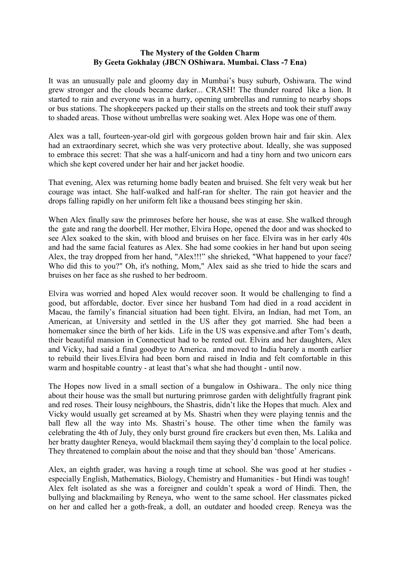#### The Mystery of the Golden Charm By Geeta Gokhalay (JBCN OShiwara. Mumbai. Class -7 Ena)

It was an unusually pale and gloomy day in Mumbai's busy suburb, Oshiwara. The wind grew stronger and the clouds became darker... CRASH! The thunder roared like a lion. It started to rain and everyone was in a hurry, opening umbrellas and running to nearby shops or bus stations. The shopkeepers packed up their stalls on the streets and took their stuff away to shaded areas. Those without umbrellas were soaking wet. Alex Hope was one of them.

Alex was a tall, fourteen-year-old girl with gorgeous golden brown hair and fair skin. Alex had an extraordinary secret, which she was very protective about. Ideally, she was supposed to embrace this secret: That she was a half-unicorn and had a tiny horn and two unicorn ears which she kept covered under her hair and her jacket hoodie.

That evening, Alex was returning home badly beaten and bruised. She felt very weak but her courage was intact. She half-walked and half-ran for shelter. The rain got heavier and the drops falling rapidly on her uniform felt like a thousand bees stinging her skin.

When Alex finally saw the primroses before her house, she was at ease. She walked through the gate and rang the doorbell. Her mother, Elvira Hope, opened the door and was shocked to see Alex soaked to the skin, with blood and bruises on her face. Elvira was in her early 40s and had the same facial features as Alex. She had some cookies in her hand but upon seeing Alex, the tray dropped from her hand, "Alex!!!" she shrieked, "What happened to your face? Who did this to you?" Oh, it's nothing, Mom," Alex said as she tried to hide the scars and bruises on her face as she rushed to her bedroom.

Elvira was worried and hoped Alex would recover soon. It would be challenging to find a good, but affordable, doctor. Ever since her husband Tom had died in a road accident in Macau, the family's financial situation had been tight. Elvira, an Indian, had met Tom, an American, at University and settled in the US after they got married. She had been a homemaker since the birth of her kids. Life in the US was expensive.and after Tom's death, their beautiful mansion in Connecticut had to be rented out. Elvira and her daughters, Alex and Vicky, had said a final goodbye to America. and moved to India barely a month earlier to rebuild their lives.Elvira had been born and raised in India and felt comfortable in this warm and hospitable country - at least that's what she had thought - until now.

The Hopes now lived in a small section of a bungalow in Oshiwara.. The only nice thing about their house was the small but nurturing primrose garden with delightfully fragrant pink and red roses. Their lousy neighbours, the Shastris, didn't like the Hopes that much. Alex and Vicky would usually get screamed at by Ms. Shastri when they were playing tennis and the ball flew all the way into Ms. Shastri's house. The other time when the family was celebrating the 4th of July, they only burst ground fire crackers but even then, Ms. Lalika and her bratty daughter Reneya, would blackmail them saying they'd complain to the local police. They threatened to complain about the noise and that they should ban 'those' Americans.

Alex, an eighth grader, was having a rough time at school. She was good at her studies especially English, Mathematics, Biology, Chemistry and Humanities - but Hindi was tough! Alex felt isolated as she was a foreigner and couldn't speak a word of Hindi. Then, the bullying and blackmailing by Reneya, who went to the same school. Her classmates picked on her and called her a goth-freak, a doll, an outdater and hooded creep. Reneya was the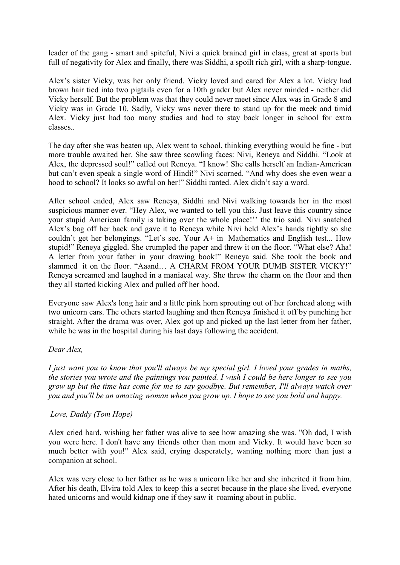leader of the gang - smart and spiteful, Nivi a quick brained girl in class, great at sports but full of negativity for Alex and finally, there was Siddhi, a spoilt rich girl, with a sharp-tongue.

Alex's sister Vicky, was her only friend. Vicky loved and cared for Alex a lot. Vicky had brown hair tied into two pigtails even for a 10th grader but Alex never minded - neither did Vicky herself. But the problem was that they could never meet since Alex was in Grade 8 and Vicky was in Grade 10. Sadly, Vicky was never there to stand up for the meek and timid Alex. Vicky just had too many studies and had to stay back longer in school for extra classes..

The day after she was beaten up, Alex went to school, thinking everything would be fine - but more trouble awaited her. She saw three scowling faces: Nivi, Reneya and Siddhi. "Look at Alex, the depressed soul!" called out Reneya. "I know! She calls herself an Indian-American but can't even speak a single word of Hindi!" Nivi scorned. "And why does she even wear a hood to school? It looks so awful on her!" Siddhi ranted. Alex didn't say a word.

After school ended, Alex saw Reneya, Siddhi and Nivi walking towards her in the most suspicious manner ever. "Hey Alex, we wanted to tell you this. Just leave this country since your stupid American family is taking over the whole place!'' the trio said. Nivi snatched Alex's bag off her back and gave it to Reneya while Nivi held Alex's hands tightly so she couldn't get her belongings. "Let's see. Your A+ in Mathematics and English test... How stupid!" Reneya giggled. She crumpled the paper and threw it on the floor. "What else? Aha! A letter from your father in your drawing book!" Reneya said. She took the book and slammed it on the floor. "Aaand… A CHARM FROM YOUR DUMB SISTER VICKY!" Reneya screamed and laughed in a maniacal way. She threw the charm on the floor and then they all started kicking Alex and pulled off her hood.

Everyone saw Alex's long hair and a little pink horn sprouting out of her forehead along with two unicorn ears. The others started laughing and then Reneya finished it off by punching her straight. After the drama was over, Alex got up and picked up the last letter from her father, while he was in the hospital during his last days following the accident.

## Dear Alex,

I just want you to know that you'll always be my special girl. I loved your grades in maths, the stories you wrote and the paintings you painted. I wish I could be here longer to see you grow up but the time has come for me to say goodbye. But remember, I'll always watch over you and you'll be an amazing woman when you grow up. I hope to see you bold and happy.

#### Love, Daddy (Tom Hope)

Alex cried hard, wishing her father was alive to see how amazing she was. "Oh dad, I wish you were here. I don't have any friends other than mom and Vicky. It would have been so much better with you!" Alex said, crying desperately, wanting nothing more than just a companion at school.

Alex was very close to her father as he was a unicorn like her and she inherited it from him. After his death, Elvira told Alex to keep this a secret because in the place she lived, everyone hated unicorns and would kidnap one if they saw it roaming about in public.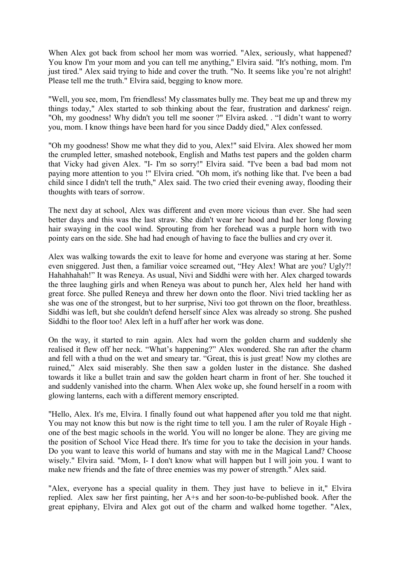When Alex got back from school her mom was worried. "Alex, seriously, what happened? You know I'm your mom and you can tell me anything," Elvira said. "It's nothing, mom. I'm just tired." Alex said trying to hide and cover the truth. "No. It seems like you're not alright! Please tell me the truth." Elvira said, begging to know more.

"Well, you see, mom, I'm friendless! My classmates bully me. They beat me up and threw my things today," Alex started to sob thinking about the fear, frustration and darkness' reign. "Oh, my goodness! Why didn't you tell me sooner ?" Elvira asked. . "I didn't want to worry you, mom. I know things have been hard for you since Daddy died," Alex confessed.

"Oh my goodness! Show me what they did to you, Alex!" said Elvira. Alex showed her mom the crumpled letter, smashed notebook, English and Maths test papers and the golden charm that Vicky had given Alex. "I- I'm so sorry!" Elvira said. "I've been a bad bad mom not paying more attention to you !" Elvira cried. "Oh mom, it's nothing like that. I've been a bad child since I didn't tell the truth," Alex said. The two cried their evening away, flooding their thoughts with tears of sorrow.

The next day at school, Alex was different and even more vicious than ever. She had seen better days and this was the last straw. She didn't wear her hood and had her long flowing hair swaying in the cool wind. Sprouting from her forehead was a purple horn with two pointy ears on the side. She had had enough of having to face the bullies and cry over it.

Alex was walking towards the exit to leave for home and everyone was staring at her. Some even sniggered. Just then, a familiar voice screamed out, "Hey Alex! What are you? Ugly?! Hahahhahah!" It was Reneya. As usual, Nivi and Siddhi were with her. Alex charged towards the three laughing girls and when Reneya was about to punch her, Alex held her hand with great force. She pulled Reneya and threw her down onto the floor. Nivi tried tackling her as she was one of the strongest, but to her surprise, Nivi too got thrown on the floor, breathless. Siddhi was left, but she couldn't defend herself since Alex was already so strong. She pushed Siddhi to the floor too! Alex left in a huff after her work was done.

On the way, it started to rain again. Alex had worn the golden charm and suddenly she realised it flew off her neck. "What's happening?" Alex wondered. She ran after the charm and fell with a thud on the wet and smeary tar. "Great, this is just great! Now my clothes are ruined," Alex said miserably. She then saw a golden luster in the distance. She dashed towards it like a bullet train and saw the golden heart charm in front of her. She touched it and suddenly vanished into the charm. When Alex woke up, she found herself in a room with glowing lanterns, each with a different memory enscripted.

"Hello, Alex. It's me, Elvira. I finally found out what happened after you told me that night. You may not know this but now is the right time to tell you. I am the ruler of Royale High one of the best magic schools in the world. You will no longer be alone. They are giving me the position of School Vice Head there. It's time for you to take the decision in your hands. Do you want to leave this world of humans and stay with me in the Magical Land? Choose wisely." Elvira said. "Mom, I- I don't know what will happen but I will join you. I want to make new friends and the fate of three enemies was my power of strength." Alex said.

"Alex, everyone has a special quality in them. They just have to believe in it," Elvira replied. Alex saw her first painting, her A+s and her soon-to-be-published book. After the great epiphany, Elvira and Alex got out of the charm and walked home together. "Alex,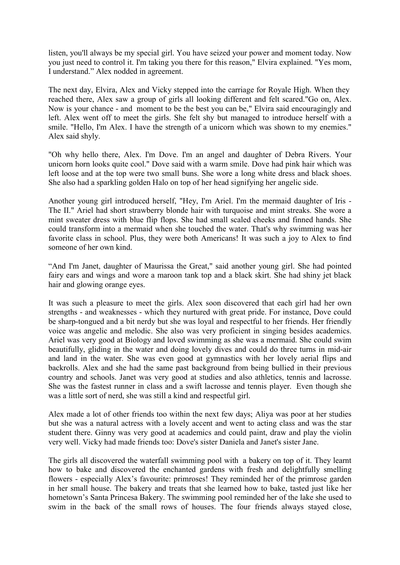listen, you'll always be my special girl. You have seized your power and moment today. Now you just need to control it. I'm taking you there for this reason," Elvira explained. "Yes mom, I understand." Alex nodded in agreement.

The next day, Elvira, Alex and Vicky stepped into the carriage for Royale High. When they reached there, Alex saw a group of girls all looking different and felt scared."Go on, Alex. Now is your chance - and moment to be the best you can be," Elvira said encouragingly and left. Alex went off to meet the girls. She felt shy but managed to introduce herself with a smile. "Hello, I'm Alex. I have the strength of a unicorn which was shown to my enemies." Alex said shyly.

"Oh why hello there, Alex. I'm Dove. I'm an angel and daughter of Debra Rivers. Your unicorn horn looks quite cool." Dove said with a warm smile. Dove had pink hair which was left loose and at the top were two small buns. She wore a long white dress and black shoes. She also had a sparkling golden Halo on top of her head signifying her angelic side.

Another young girl introduced herself, "Hey, I'm Ariel. I'm the mermaid daughter of Iris - The II." Ariel had short strawberry blonde hair with turquoise and mint streaks. She wore a mint sweater dress with blue flip flops. She had small scaled cheeks and finned hands. She could transform into a mermaid when she touched the water. That's why swimming was her favorite class in school. Plus, they were both Americans! It was such a joy to Alex to find someone of her own kind.

"And I'm Janet, daughter of Maurissa the Great," said another young girl. She had pointed fairy ears and wings and wore a maroon tank top and a black skirt. She had shiny jet black hair and glowing orange eyes.

It was such a pleasure to meet the girls. Alex soon discovered that each girl had her own strengths - and weaknesses - which they nurtured with great pride. For instance, Dove could be sharp-tongued and a bit nerdy but she was loyal and respectful to her friends. Her friendly voice was angelic and melodic. She also was very proficient in singing besides academics. Ariel was very good at Biology and loved swimming as she was a mermaid. She could swim beautifully, gliding in the water and doing lovely dives and could do three turns in mid-air and land in the water. She was even good at gymnastics with her lovely aerial flips and backrolls. Alex and she had the same past background from being bullied in their previous country and schools. Janet was very good at studies and also athletics, tennis and lacrosse. She was the fastest runner in class and a swift lacrosse and tennis player. Even though she was a little sort of nerd, she was still a kind and respectful girl.

Alex made a lot of other friends too within the next few days; Aliya was poor at her studies but she was a natural actress with a lovely accent and went to acting class and was the star student there. Ginny was very good at academics and could paint, draw and play the violin very well. Vicky had made friends too: Dove's sister Daniela and Janet's sister Jane.

The girls all discovered the waterfall swimming pool with a bakery on top of it. They learnt how to bake and discovered the enchanted gardens with fresh and delightfully smelling flowers - especially Alex's favourite: primroses! They reminded her of the primrose garden in her small house. The bakery and treats that she learned how to bake, tasted just like her hometown's Santa Princesa Bakery. The swimming pool reminded her of the lake she used to swim in the back of the small rows of houses. The four friends always stayed close,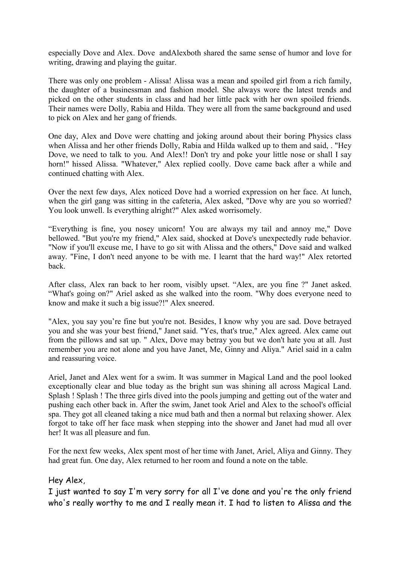especially Dove and Alex. Dove andAlexboth shared the same sense of humor and love for writing, drawing and playing the guitar.

There was only one problem - Alissa! Alissa was a mean and spoiled girl from a rich family, the daughter of a businessman and fashion model. She always wore the latest trends and picked on the other students in class and had her little pack with her own spoiled friends. Their names were Dolly, Rabia and Hilda. They were all from the same background and used to pick on Alex and her gang of friends.

One day, Alex and Dove were chatting and joking around about their boring Physics class when Alissa and her other friends Dolly, Rabia and Hilda walked up to them and said, . "Hey Dove, we need to talk to you. And Alex!! Don't try and poke your little nose or shall I say horn!" hissed Alissa. "Whatever," Alex replied coolly. Dove came back after a while and continued chatting with Alex.

Over the next few days, Alex noticed Dove had a worried expression on her face. At lunch, when the girl gang was sitting in the cafeteria, Alex asked, "Dove why are you so worried? You look unwell. Is everything alright?" Alex asked worrisomely.

"Everything is fine, you nosey unicorn! You are always my tail and annoy me," Dove bellowed. "But you're my friend," Alex said, shocked at Dove's unexpectedly rude behavior. "Now if you'll excuse me, I have to go sit with Alissa and the others," Dove said and walked away. "Fine, I don't need anyone to be with me. I learnt that the hard way!" Alex retorted back.

After class, Alex ran back to her room, visibly upset. "Alex, are you fine ?" Janet asked. "What's going on?" Ariel asked as she walked into the room. "Why does everyone need to know and make it such a big issue?!" Alex sneered.

"Alex, you say you're fine but you're not. Besides, I know why you are sad. Dove betrayed you and she was your best friend," Janet said. "Yes, that's true," Alex agreed. Alex came out from the pillows and sat up. " Alex, Dove may betray you but we don't hate you at all. Just remember you are not alone and you have Janet, Me, Ginny and Aliya." Ariel said in a calm and reassuring voice.

Ariel, Janet and Alex went for a swim. It was summer in Magical Land and the pool looked exceptionally clear and blue today as the bright sun was shining all across Magical Land. Splash ! Splash ! The three girls dived into the pools jumping and getting out of the water and pushing each other back in. After the swim, Janet took Ariel and Alex to the school's official spa. They got all cleaned taking a nice mud bath and then a normal but relaxing shower. Alex forgot to take off her face mask when stepping into the shower and Janet had mud all over her! It was all pleasure and fun.

For the next few weeks, Alex spent most of her time with Janet, Ariel, Aliya and Ginny. They had great fun. One day, Alex returned to her room and found a note on the table.

## Hey Alex,

I just wanted to say I'm very sorry for all I've done and you're the only friend who's really worthy to me and I really mean it. I had to listen to Alissa and the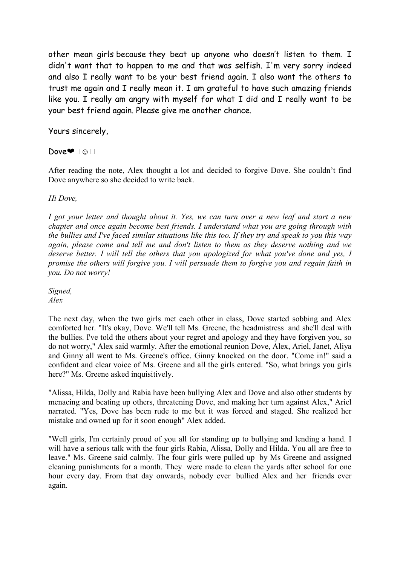other mean girls because they beat up anyone who doesn't listen to them. I didn't want that to happen to me and that was selfish. I'm very sorry indeed and also I really want to be your best friend again. I also want the others to trust me again and I really mean it. I am grateful to have such amazing friends like you. I really am angry with myself for what I did and I really want to be your best friend again. Please give me another chance.

# Yours sincerely,

## Dove<sup>●</sup>□☺□

After reading the note, Alex thought a lot and decided to forgive Dove. She couldn't find Dove anywhere so she decided to write back.

#### Hi Dove,

I got your letter and thought about it. Yes, we can turn over a new leaf and start a new chapter and once again become best friends. I understand what you are going through with the bullies and I've faced similar situations like this too. If they try and speak to you this way again, please come and tell me and don't listen to them as they deserve nothing and we deserve better. I will tell the others that you apologized for what you've done and yes, I promise the others will forgive you. I will persuade them to forgive you and regain faith in you. Do not worry!

Signed, Alex

The next day, when the two girls met each other in class, Dove started sobbing and Alex comforted her. "It's okay, Dove. We'll tell Ms. Greene, the headmistress and she'll deal with the bullies. I've told the others about your regret and apology and they have forgiven you, so do not worry," Alex said warmly. After the emotional reunion Dove, Alex, Ariel, Janet, Aliya and Ginny all went to Ms. Greene's office. Ginny knocked on the door. "Come in!" said a confident and clear voice of Ms. Greene and all the girls entered. "So, what brings you girls here?" Ms. Greene asked inquisitively.

"Alissa, Hilda, Dolly and Rabia have been bullying Alex and Dove and also other students by menacing and beating up others, threatening Dove, and making her turn against Alex," Ariel narrated. "Yes, Dove has been rude to me but it was forced and staged. She realized her mistake and owned up for it soon enough" Alex added.

"Well girls, I'm certainly proud of you all for standing up to bullying and lending a hand. I will have a serious talk with the four girls Rabia, Alissa, Dolly and Hilda. You all are free to leave." Ms. Greene said calmly. The four girls were pulled up by Ms Greene and assigned cleaning punishments for a month. They were made to clean the yards after school for one hour every day. From that day onwards, nobody ever bullied Alex and her friends ever again.